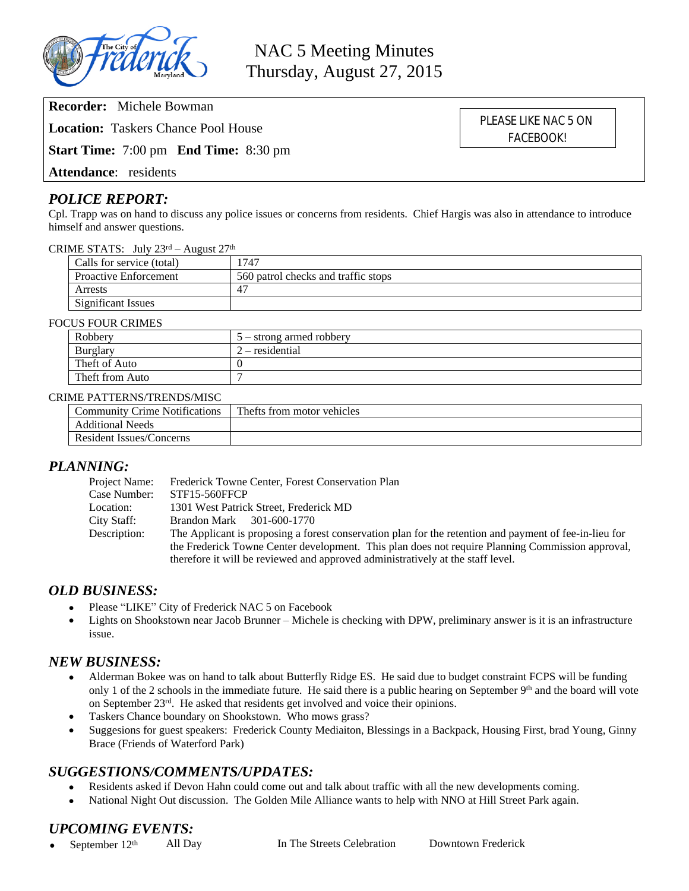

**Recorder:** Michele Bowman

**Location:** Taskers Chance Pool House

**Start Time:** 7:00 pm **End Time:** 8:30 pm

**Attendance**: residents

## *POLICE REPORT:*

Cpl. Trapp was on hand to discuss any police issues or concerns from residents. Chief Hargis was also in attendance to introduce himself and answer questions.

#### CRIME STATS: July  $23^{\text{rd}}$  – August  $27^{\text{th}}$

| Calls for service (total) | 747                                 |
|---------------------------|-------------------------------------|
| Proactive Enforcement     | 560 patrol checks and traffic stops |
| Arrests                   | $4^{\circ}$                         |
| <b>Significant Issues</b> |                                     |

#### FOCUS FOUR CRIMES

| Robbery         | $5 -$ strong armed robbery |
|-----------------|----------------------------|
| Burglary        | $2$ – residential          |
| Theft of Auto   |                            |
| Theft from Auto |                            |

#### CRIME PATTERNS/TRENDS/MISC

| <b>Community Crime Notifications</b> | Thefts from motor vehicles |  |
|--------------------------------------|----------------------------|--|
| <b>Additional Needs</b>              |                            |  |
| Resident Issues/Concerns             |                            |  |

## *PLANNING:*

| Project Name: | Frederick Towne Center, Forest Conservation Plan                                                       |
|---------------|--------------------------------------------------------------------------------------------------------|
| Case Number:  | <b>STF15-560FFCP</b>                                                                                   |
| Location:     | 1301 West Patrick Street, Frederick MD                                                                 |
| City Staff:   | Brandon Mark 301-600-1770                                                                              |
| Description:  | The Applicant is proposing a forest conservation plan for the retention and payment of fee-in-lieu for |
|               | the Frederick Towne Center development. This plan does not require Planning Commission approval,       |
|               | therefore it will be reviewed and approved administratively at the staff level.                        |

## *OLD BUSINESS:*

- Please "LIKE" City of Frederick NAC 5 on Facebook
- Lights on Shookstown near Jacob Brunner Michele is checking with DPW, preliminary answer is it is an infrastructure issue.

## *NEW BUSINESS:*

- Alderman Bokee was on hand to talk about Butterfly Ridge ES. He said due to budget constraint FCPS will be funding only 1 of the 2 schools in the immediate future. He said there is a public hearing on September  $9<sup>th</sup>$  and the board will vote on September 23rd. He asked that residents get involved and voice their opinions.
- Taskers Chance boundary on Shookstown. Who mows grass?
- Suggesions for guest speakers: Frederick County Mediaiton, Blessings in a Backpack, Housing First, brad Young, Ginny Brace (Friends of Waterford Park)

## *SUGGESTIONS/COMMENTS/UPDATES:*

- Residents asked if Devon Hahn could come out and talk about traffic with all the new developments coming.
- National Night Out discussion. The Golden Mile Alliance wants to help with NNO at Hill Street Park again.

## *UPCOMING EVENTS:*

September 12<sup>th</sup> All Day In The Streets Celebration Downtown Frederick

PLEASE LIKE NAC 5 ON FACEBOOK!